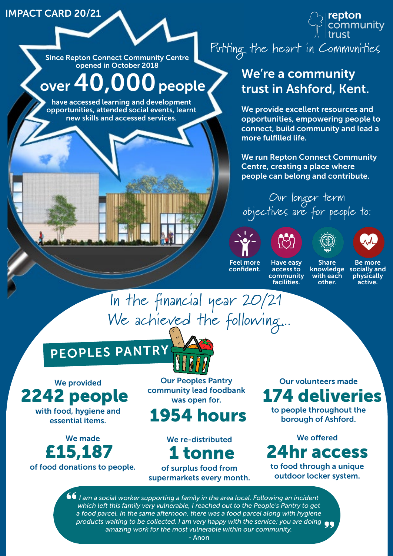#### IMPACT CARD 20/21

opened in October 2018

# over 40,000 people

have accessed learning and development opportunities, attended social events, learnt new skills and accessed services.



## We're a community trust in Ashford, Kent.

We provide excellent resources and opportunities, empowering people to connect, build community and lead a more fulfilled life.

We run Repton Connect Community Centre, creating a place where people can belong and contribute.

Our longer term objectives are for people to:







Feel more confident.

Have easy access to community facilities.

Share knowledge with each other.

Be more socially and physically active.

In the financial year 20/21 We achieved the following...

# PEOPLES PANTRY

We provided with food, hygiene and 2242 people

essential items.

We made

of food donations to people.

Our Peoples Pantry community lead foodbank was open for.

## 1954 hours

We re-distributed

of surplus food from supermarkets every month.

Our volunteers made 174 deliveries

to people throughout the borough of Ashford.

We offered to food through a unique £15,187 1 tonne 24hr access

outdoor locker system.

*I am a social worker supporting a family in the area local. Following an incident which left this family very vulnerable, I reached out to the People's Pantry to get a food parcel. In the same afternoon, there was a food parcel along with hygiene products waiting to be collected. I am very happy with the service; you are doing amazing work for the most vulnerable within our community.*

- Anon